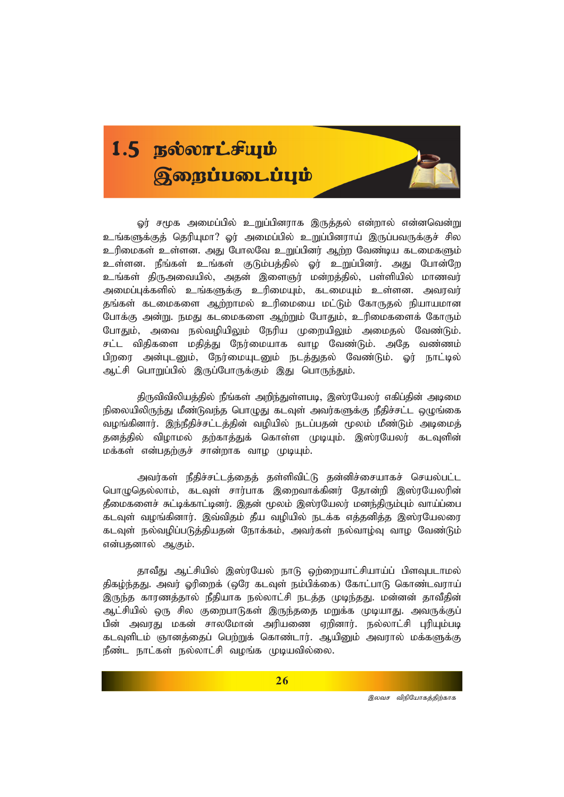## 1.5 BEOOTLFULD  $g$ றைப்படைப்பும்

ஓர் சமூக அமைப்பில் உறுப்பினராக இருத்தல் என்றால் என்னவென்று உங்களுக்குத் தெரியுமா? ஓர் அமைப்பில் உறுப்பினராய் இருப்பவருக்குச் சில *cupikfs; cs;sd. mJ NghyNt cWg;gpdu; Mw;w Ntz;ba flikfSk;* உள்ளன. நீங்கள் உங்கள் குடும்பத்தில் ஓர் உறுப்பினர். அது போன்றே உங்கள் திருஅவையில், அதன் இளைஞர் மன்றத்தில், பள்ளியில் மாணவர் அமைப்புக்களில் உங்களுக்கு உரிமையும், கடமையும் உள்ளன. அவரவர் தங்கள் கடமைகளை ஆற்றாமல் உரிமையை மட்டும் கோருதல் நியாயமான போக்கு அன்று, நமது கடமைகளை ஆற்றும் போதும், உரிமைகளைக் கோரும் போதும், அவை நல்வழியிலும் நேரிய முறையிலும் அமைதல் வேண்டும். சட்ட விதிகளை மதித்து நேர்மையாக வாழ வேண்டும். அதே வண்ணம் பிறரை அன்புடனும், நேர்மையுடனும் நடத்துதல் வேண்டும். ஓர் நாட்டில் ஆட்சி பொறுப்பில் இருப்போருக்கும் இது பொருந்தும்.

திருவிவிலியத்தில் நீங்கள் அறிந்துள்ளபடி, இஸ்ரயேலர் எகிப்தின் அடிமை நிலையிலிருந்து மீண்டுவந்த பொழுது கடவுள் அவர்களுக்கு நீதிச்சட்ட ஒழுங்கை வழங்கினார். இந்நீதிச்சட்டத்தின் வழியில் நடப்பதன் மூலம் மீண்டும் அடிமைத் தனத்தில் விழாமல் தற்காத்துக் கொள்ள முடியும். இஸ்ரயேலர் கடவுளின் *kf;fs; vd;gjw;Fr; rhd;whf tho KbAk;.*

அவர்கள் நீதிச்சட்டத்தைத் தள்ளிவிட்டு தன்னிச்சையாகச் செயல்பட்ட பொழுதெல்லாம், கடவுள் சார்பாக இறைவாக்கினர் தோன்றி இஸ்ரயேலரின் *jPikfisr; Rl;bf;fhl;bdu;. ,jd; %yk; ,];uNayu; kde;jpUk;Gk; tha;g;ig* கடவுள் வழங்கினார். இவ்விதம் தீய வழியில் நடக்க எத்தனித்த இஸ்ரயேலரை கடவுள் நல்வழிப்படுத்தியதன் நோக்கம், அவர்கள் நல்வாழ்வு வாழ வேண்டும் என்பதனால் ஆகும்.

தாவீது ஆட்சியில் இஸ்ரயேல் நாடு ஒற்றையாட்சியாய்ப் பிளவுபடாமல் திகழ்ந்தது. அவர் ஓரிறைக் (ஒரே கடவுள் நம்பிக்கை) கோட்பாடு கொண்டவராய் இருந்த காரணத்தால் நீதியாக நல்லாட்சி நடத்த முடிந்தது. மன்னன் தாவீதின் ஆட்சியில் ஒரு சில குறைபாடுகள் இருந்ததை மறுக்க முடியாது. அவருக்குப் *gp;d; mtuJ kfd; rhyNkhd; mupaiz Vwpdhu;. ey;yhl;rp GupAk;gb* கடவுளிடம் ஞானத்தைப் பெற்றுக் கொண்டார். ஆயினும் அவரால் மக்களுக்கு நீண்ட நாட்கள் நல்லாட்சி வழங்க முடியவில்லை.

்<br>*இலவச விநியோகத்திற்காக*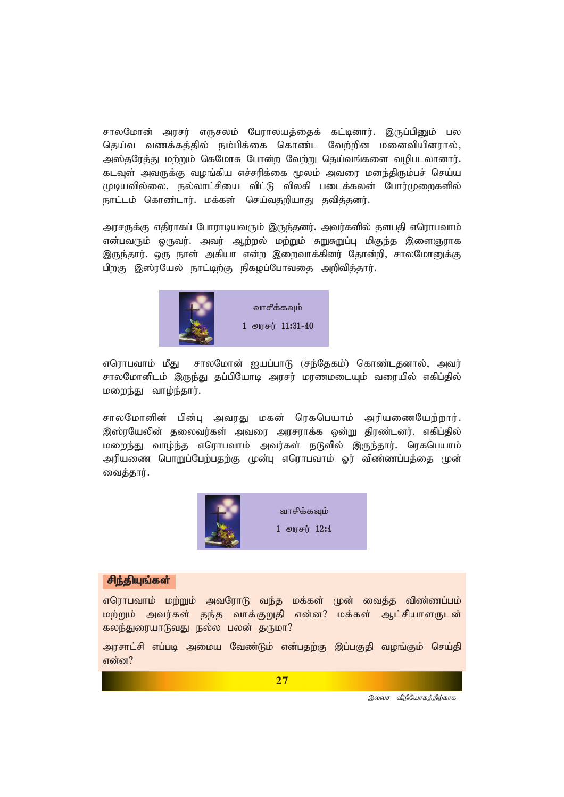சாலமோன் அரசர் எருசலம் பேராலயத்தைக் கட்டினார். இருப்பினும் பல தெய்வ வணக்கத்தில் நம்பிக்கை கொண்ட வேற்றின மனைவியினரால், *m];jNuj;J kw;Wk; nfNkhR Nghd;w Ntw;W nja;tq;fis topglyhdhu;. flTs; mtUf;F toq;fpa vr;rupf;if %yk; mtiu kde;jpUk;gr; nra;a Kbatpy;iy. ey;yhl;rpia tpl;L tpyfp gilf;fyd; Nghu;Kiwfspy;* நாட்டம் கொண்டார். மக்கள் செய்வதறியாது தவித்தனர்.

அரசருக்கு எதிராகப் போராடியவரும் இருந்தனர். அவர்களில் தளபதி எரொபவாம் என்பவரும் ஒருவர். அவர் ஆற்றல் மற்றும் சுறுசுறுப்பு மிகுந்த இளைஞராக இருந்தார். ஒரு நாள் அகியா என்ற இறைவாக்கினர் தோன்றி, சாலமோறுக்கு பிறகு இஸ்ரயேல் நாட்டிற்கு நிகழப்போவதை அறிவித்தார்.



எரொபவாம் மீது சாலமோன் ஐயப்பாடு (சந்தேகம்) கொண்டதனால், அவர் சாலமோனிடம் இருந்து தப்பியோடி அரசர் மரணமடையும் வரையில் எகிப்தில் *kiwe;J tho;e;jhu;.*

சாலமோனின் பின்பு அவரது மகன் ரெகபெயாம் அரியணையேற்றார். இஸ்ரயேலின் தலைவர்கள் அவரை அரசராக்க ஒன்று திரண்டனர். எகிப்தில் மறைந்து வாழ்ந்த எரொபவாம் அவர்கள் நடுவில் இருந்தார். ரெகபெயாம் அரியணை பொறுப்பேற்பதற்கு முன்பு எரொபவாம் ஓர் விண்ணப்பத்தை முன் வைக்கார்.



## சி<u>ந்</u>தியுங்கள்

எரொபவாம் மற்றும் அவரோடு வந்த மக்கள் முன் வைத்த விண்ணப்பம் மற்றும் அவர்கள் தந்த வாக்குறுதி என்ன? மக்கள் ஆட்சியாளருடன் கலந்துரையாடுவது நல்ல பலன் தருமா?

அரசாட்சி எப்படி அமைய வேண்டும் என்பதற்கு இப்பகுதி வழங்கும் செய்தி என்ன?

*இலவச விநியோகத்திற்காக*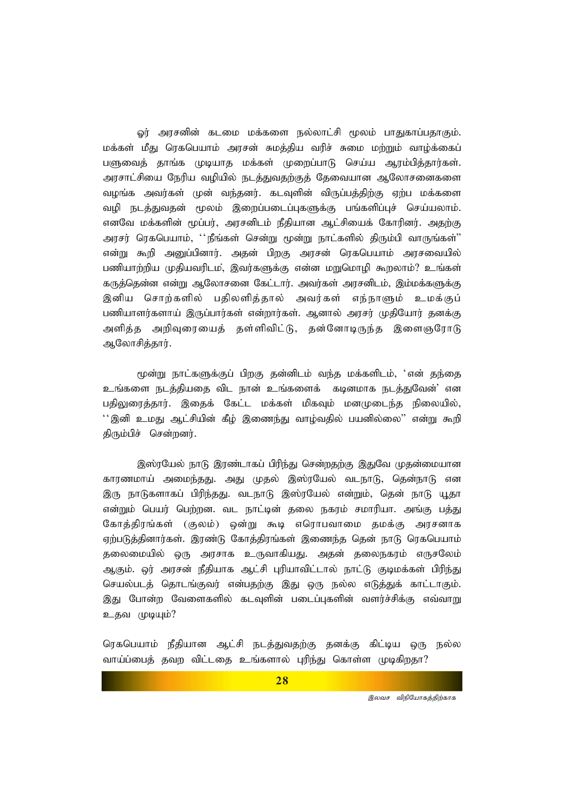ஓர் அரசனின் கடமை மக்களை நல்லாட்சி மூலம் பாதுகாப்பதாகும். மக்கள் மீது ரெகபெயாம் அரசன் சுமத்திய வரிச் சுமை மற்றும் வாழ்க்கைப் பளுவைத் தாங்க முடியாத மக்கள் முறைப்பாடு செய்ய ஆரம்பித்தார்கள். அரசாட்சியை நேரிய வழியில் நடத்துவதற்குத் தேவையான ஆலோசனைகளை வழங்க அவர்கள் முன் வந்தனர். கடவுளின் விருப்பத்திற்கு ஏற்ப மக்களை வழி நடத்துவதன் மூலம் இறைப்படைப்புகளுக்கு பங்களிப்புச் செய்யலாம். எனவே மக்களின் மூப்பர், அரசனிடம் நீதியான ஆட்சியைக் கோரினர். அகற்கு அரசர் ரெகபெயாம், ''நீங்கள் சென்று மூன்று நாட்களில் திரும்பி வாருங்கள்'' என்று கூறி அனுப்பினார். அதன் பிறகு அரசன் ரெகபெயாம் அரசவையில் பணியாற்றிய முதியவரிடம், இவர்களுக்கு என்ன மறுமொழி கூறலாம்? உங்கள் கருத்தென்ன என்று ஆலோசனை கேட்டார். அவர்கள் அரசனிடம், இம்மக்களுக்கு இனிய சொற்களில் பதிலளித்தால் அவர்கள் எந்நாளும் உமக்குப் பணியாளர்களாய் இருப்பார்கள் என்றார்கள். ஆனால் அரசர் முதியோர் தனக்கு அளித்த அறிவுரையைத் தள்ளிவிட்டு, தன்னோடிருந்த இளைஞரோடு ஆலோசிக்கார்.

மூன்று நாட்களுக்குப் பிறகு தன்னிடம் வந்த மக்களிடம், 'என் தந்தை உங்களை நடத்தியதை விட நான் உங்களைக் கடினமாக நடத்துவேன்<sup>;</sup> என பதிலுரைத்தார். இதைக் கேட்ட மக்கள் மிகவும் மனமுடைந்த நிலையில்,  $^{\prime\prime}$ இனி உமது ஆட்சியின் கீழ் இணைந்து வாழ்வதில் பயனில்லை'' என்று கூறி திரும்பிச் சென்றனர்.

இஸ்ரயேல் நாடு இரண்டாகப் பிரிந்து சென்றதற்கு இதுவே முதன்மையான காரணமாய் அமைந்தது. அது முதல் இஸ்ரயேல் வடநாடு, தென்நாடு என இரு நாடுகளாகப் பிரிந்தது. வடநாடு இஸ்ரயேல் என்றும், தென் நாடு யூதா என்றும் பெயர் பெற்றன. வட நாட்டின் தலை நகரம் சமாரியா. அங்கு பத்து கோத்திரங்கள் (குலம்) ஒன்று கூடி எரொபவாமை தமக்கு அரசனாக ஏற்படுத்தினார்கள். இரண்டு கோத்திரங்கள் இணைந்த தென் நாடு ரெகபெயாம் தலைமையில் ஒரு அரசாக உருவாகியது. அதன் தலைநகரம் எருசலேம் ஆகும். ஓர் அரசன் நீதியாக ஆட்சி புரியாவிட்டால் நாட்டு குடிமக்கள் பிரிந்து செயல்படத் தொடங்குவர் என்பதற்கு இது ஒரு நல்ல எடுத்துக் காட்டாகும். இது போன்ற வேளைகளில் கடவுளின் படைப்புகளின் வளர்ச்சிக்கு எவ்வாறு உதவ முடியும்?

ரெகபெயாம் நீதியான ஆட்சி நடத்துவதற்கு தனக்கு கிட்டிய ஒரு நல்ல வாய்ப்பைத் தவற விட்டதை உங்களால் புரிந்து கொள்ள முடிகிறதா?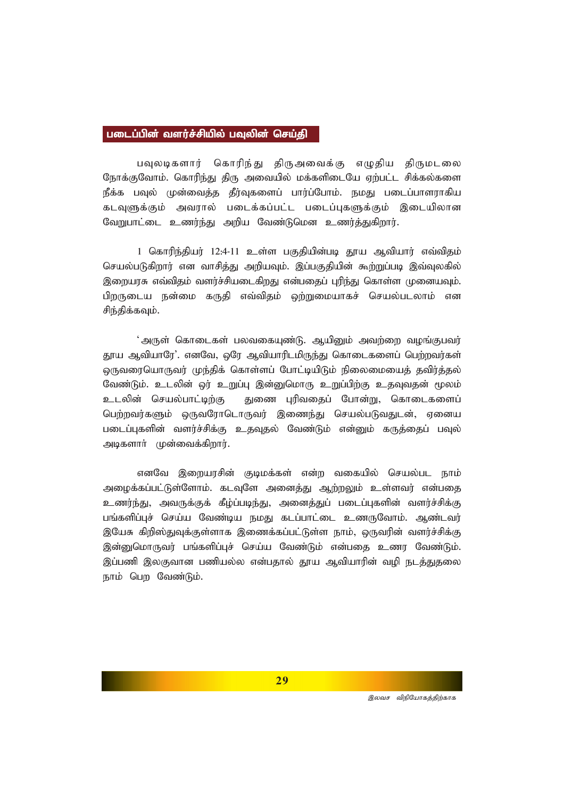## படைப்பின் வளர்ச்சியில் பவுலின் செய்கி

பவுலடிகளார் கொரிந்து திருஅவைக்கு எழுதிய திருமடலை நோக்குவோம். கொரிந்து திரு அவையில் மக்களிடையே ஏற்பட்ட சிக்கல்களை நீக்க பவுல் முன்வைத்த தீர்வுகளைப் பார்ப்போம். நமது படைப்பாளராகிய கடவுளுக்கும் அவரால் படைக்கப்பட்ட படைப்புகளுக்கும் இடையிலான வேறுபாட்டை உணர்ந்து அறிய வேண்டுமென உணர்த்துகிறார்.

1 கொரிந்தியர் 12:4-11 உள்ள பகுதியின்படி தூய ஆவியார் எவ்விதம் செயல்படுகிறார் என வாசித்து அறியவும். இப்பகுதியின் கூற்றுப்படி இவ்வுலகில் இறையரசு எவ்விதம் வளர்ச்சியடைகிறது என்பதைப் புரிந்து கொள்ள முனையவும். பிறருடைய நன்மை கருதி எவ்விதம் ஒற்றுமையாகச் செயல்படலாம் என சிந்திக்கவம்.

்அருள் கொடைகள் பலவகையுண்டு. ஆயினும் அவற்றை வழங்குபவர் தூய ஆவியாரே<sup>?</sup>. எனவே, ஒரே ஆவியாரிடமிருந்து கொடைகளைப் பெற்றவர்கள் லருவரையொருவர் முந்திக் கொள்ளப் போட்டியிடும் நிலைமையைத் தவிர்த்தல் வேண்டும். உடலின் ஒர் உறுப்பு இன்னுமொரு உறுப்பிற்கு உதவுவதன் மூலம் உடலின் செயல்பாட்டிற்கு துணை புரிவதைப் போன்று, கொடைகளைப் பெற்றவர்களும் ஒருவரோடொருவர் இணைந்து செயல்படுவதுடன், ஏனைய படைப்புகளின் வளர்ச்சிக்கு உதவுதல் வேண்டும் என்னும் கருத்தைப் பவுல் அடிகளார் முன்வைக்கிறார்.

எனவே இறையரசின் குடிமக்கள் என்ற வகையில் செயல்பட நாம் அழைக்கப்பட்டுள்ளோம். கடவுளே அனைத்து ஆற்றலும் உள்ளவர் என்பதை உணர்ந்து, அவருக்குக் கீழ்ப்படிந்து, அனைத்துப் படைப்புகளின் வளர்ச்சிக்கு பங்களிப்புச் செய்ய வேண்டிய நமது கடப்பாட்டை உணருவோம். ஆண்டவர் இயேசு கிறிஸ்துவுக்குள்ளாக இணைக்கப்பட்டுள்ள நாம், ஒருவரின் வளர்ச்சிக்கு இன்றுமொருவர் பங்களிப்புச் செய்ய வேண்டும் என்பதை உணர வேண்டும். இப்பணி இலகுவான பணியல்ல என்பதால் தூய ஆவியாரின் வழி நடத்துதலை நாம் பெற வேண்டும்.

**29**

்<br>*இலவச விநியோகத்திற்காக*